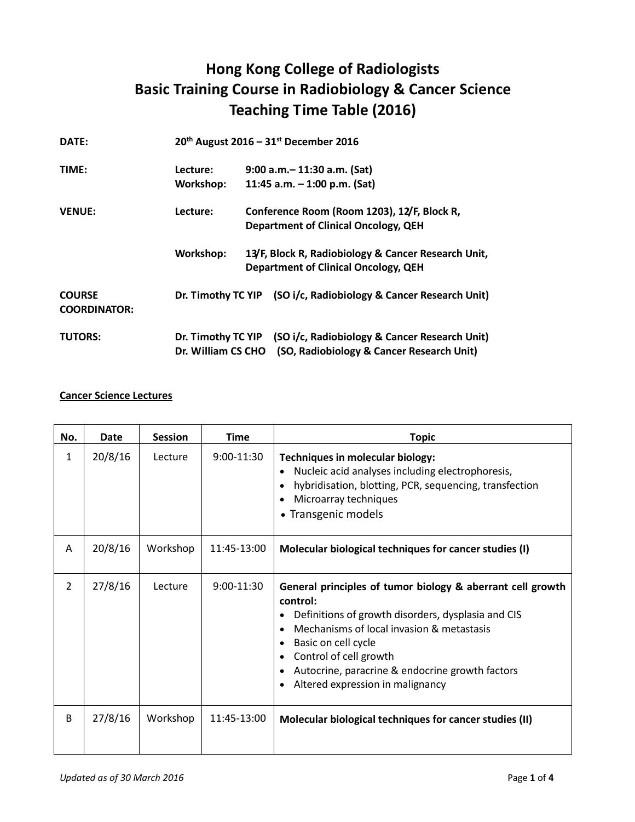## **Hong Kong College of Radiologists Basic Training Course in Radiobiology & Cancer Science Teaching Time Table (2016)**

| DATE:               | $20^{th}$ August 2016 - 31st December 2016 |  |                                                                  |
|---------------------|--------------------------------------------|--|------------------------------------------------------------------|
| TIME:               | Lecture:                                   |  | $9:00$ a.m. $-11:30$ a.m. (Sat)                                  |
|                     | Workshop:                                  |  | 11:45 a.m. $-$ 1:00 p.m. (Sat)                                   |
| <b>VENUE:</b>       | Lecture:                                   |  | Conference Room (Room 1203), 12/F, Block R,                      |
|                     |                                            |  | <b>Department of Clinical Oncology, QEH</b>                      |
|                     | Workshop:                                  |  | 13/F, Block R, Radiobiology & Cancer Research Unit,              |
|                     |                                            |  | <b>Department of Clinical Oncology, QEH</b>                      |
| <b>COURSE</b>       |                                            |  | Dr. Timothy TC YIP (SO i/c, Radiobiology & Cancer Research Unit) |
| <b>COORDINATOR:</b> |                                            |  |                                                                  |
| <b>TUTORS:</b>      |                                            |  | Dr. Timothy TC YIP (SO i/c, Radiobiology & Cancer Research Unit) |
|                     | Dr. William CS CHO                         |  | (SO, Radiobiology & Cancer Research Unit)                        |

## **Cancer Science Lectures**

| No.            | Date    | <b>Session</b> | <b>Time</b>  | <b>Topic</b>                                                                                                                                                                                                                                                                                                                                     |
|----------------|---------|----------------|--------------|--------------------------------------------------------------------------------------------------------------------------------------------------------------------------------------------------------------------------------------------------------------------------------------------------------------------------------------------------|
| 1              | 20/8/16 | Lecture        | $9:00-11:30$ | Techniques in molecular biology:<br>Nucleic acid analyses including electrophoresis,<br>$\bullet$<br>hybridisation, blotting, PCR, sequencing, transfection<br>Microarray techniques<br>• Transgenic models                                                                                                                                      |
| A              | 20/8/16 | Workshop       | 11:45-13:00  | Molecular biological techniques for cancer studies (I)                                                                                                                                                                                                                                                                                           |
| $\overline{2}$ | 27/8/16 | Lecture        | $9:00-11:30$ | General principles of tumor biology & aberrant cell growth<br>control:<br>Definitions of growth disorders, dysplasia and CIS<br>Mechanisms of local invasion & metastasis<br>$\bullet$<br>Basic on cell cycle<br>٠<br>Control of cell growth<br>Autocrine, paracrine & endocrine growth factors<br>Altered expression in malignancy<br>$\bullet$ |
| B              | 27/8/16 | Workshop       | 11:45-13:00  | Molecular biological techniques for cancer studies (II)                                                                                                                                                                                                                                                                                          |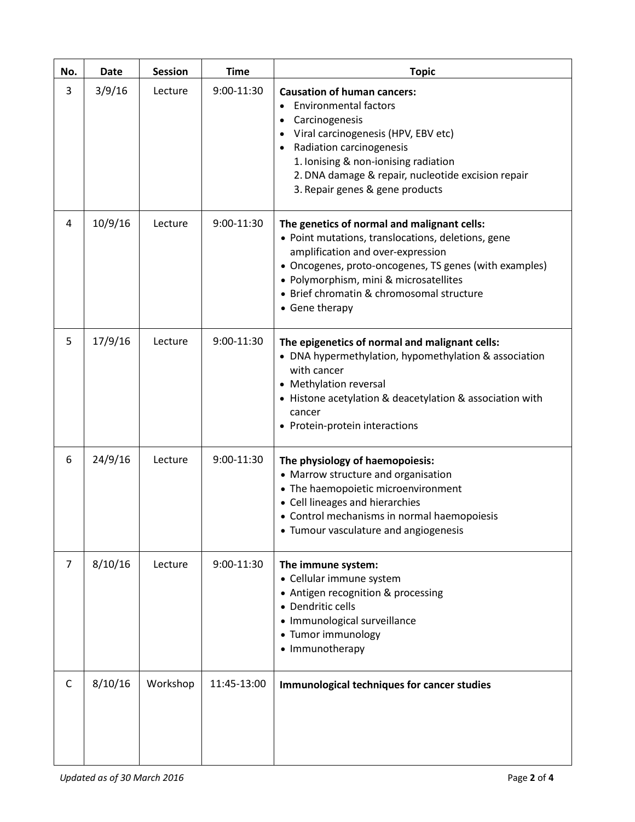| No.            | Date    | <b>Session</b> | <b>Time</b> | <b>Topic</b>                                                                                                                                                                                                                                                                                              |
|----------------|---------|----------------|-------------|-----------------------------------------------------------------------------------------------------------------------------------------------------------------------------------------------------------------------------------------------------------------------------------------------------------|
| 3              | 3/9/16  | Lecture        | 9:00-11:30  | <b>Causation of human cancers:</b><br><b>Environmental factors</b><br>Carcinogenesis<br>Viral carcinogenesis (HPV, EBV etc)<br>Radiation carcinogenesis<br>1. Ionising & non-ionising radiation<br>2. DNA damage & repair, nucleotide excision repair<br>3. Repair genes & gene products                  |
| 4              | 10/9/16 | Lecture        | 9:00-11:30  | The genetics of normal and malignant cells:<br>· Point mutations, translocations, deletions, gene<br>amplification and over-expression<br>• Oncogenes, proto-oncogenes, TS genes (with examples)<br>• Polymorphism, mini & microsatellites<br>• Brief chromatin & chromosomal structure<br>• Gene therapy |
| 5              | 17/9/16 | Lecture        | 9:00-11:30  | The epigenetics of normal and malignant cells:<br>• DNA hypermethylation, hypomethylation & association<br>with cancer<br>• Methylation reversal<br>• Histone acetylation & deacetylation & association with<br>cancer<br>• Protein-protein interactions                                                  |
| 6              | 24/9/16 | Lecture        | 9:00-11:30  | The physiology of haemopoiesis:<br>• Marrow structure and organisation<br>• The haemopoietic microenvironment<br>• Cell lineages and hierarchies<br>• Control mechanisms in normal haemopoiesis<br>• Tumour vasculature and angiogenesis                                                                  |
| $\overline{7}$ | 8/10/16 | Lecture        | 9:00-11:30  | The immune system:<br>• Cellular immune system<br>• Antigen recognition & processing<br>• Dendritic cells<br>· Immunological surveillance<br>• Tumor immunology<br>• Immunotherapy                                                                                                                        |
| C              | 8/10/16 | Workshop       | 11:45-13:00 | Immunological techniques for cancer studies                                                                                                                                                                                                                                                               |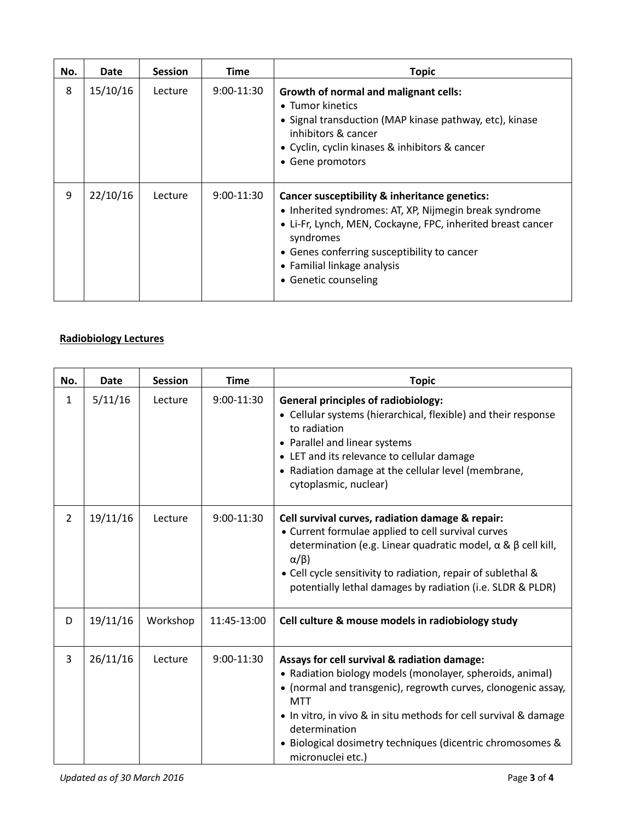| No. | Date     | <b>Session</b> | <b>Time</b>  | <b>Topic</b>                                                                                                                                                                                                                                                                              |
|-----|----------|----------------|--------------|-------------------------------------------------------------------------------------------------------------------------------------------------------------------------------------------------------------------------------------------------------------------------------------------|
| 8   | 15/10/16 | Lecture        | $9:00-11:30$ | <b>Growth of normal and malignant cells:</b><br>• Tumor kinetics<br>• Signal transduction (MAP kinase pathway, etc), kinase<br>inhibitors & cancer<br>• Cyclin, cyclin kinases & inhibitors & cancer<br>• Gene promotors                                                                  |
| 9   | 22/10/16 | Lecture        | $9:00-11:30$ | Cancer susceptibility & inheritance genetics:<br>• Inherited syndromes: AT, XP, Nijmegin break syndrome<br>• Li-Fr, Lynch, MEN, Cockayne, FPC, inherited breast cancer<br>syndromes<br>• Genes conferring susceptibility to cancer<br>• Familial linkage analysis<br>• Genetic counseling |

## **Radiobiology Lectures**

| No.            | Date     | <b>Session</b> | <b>Time</b>  | <b>Topic</b>                                                                                                                                                                                                                                                                                                                                                     |
|----------------|----------|----------------|--------------|------------------------------------------------------------------------------------------------------------------------------------------------------------------------------------------------------------------------------------------------------------------------------------------------------------------------------------------------------------------|
| 1              | 5/11/16  | Lecture        | 9:00-11:30   | <b>General principles of radiobiology:</b><br>• Cellular systems (hierarchical, flexible) and their response<br>to radiation<br>• Parallel and linear systems<br>• LET and its relevance to cellular damage<br>• Radiation damage at the cellular level (membrane,<br>cytoplasmic, nuclear)                                                                      |
| $\overline{2}$ | 19/11/16 | Lecture        | $9:00-11:30$ | Cell survival curves, radiation damage & repair:<br>• Current formulae applied to cell survival curves<br>determination (e.g. Linear quadratic model, $\alpha \& \beta$ cell kill,<br>$\alpha/\beta$ )<br>• Cell cycle sensitivity to radiation, repair of sublethal &<br>potentially lethal damages by radiation (i.e. SLDR & PLDR)                             |
| D              | 19/11/16 | Workshop       | 11:45-13:00  | Cell culture & mouse models in radiobiology study                                                                                                                                                                                                                                                                                                                |
| 3              | 26/11/16 | Lecture        | 9:00-11:30   | Assays for cell survival & radiation damage:<br>• Radiation biology models (monolayer, spheroids, animal)<br>• (normal and transgenic), regrowth curves, clonogenic assay,<br><b>MTT</b><br>• In vitro, in vivo & in situ methods for cell survival & damage<br>determination<br>• Biological dosimetry techniques (dicentric chromosomes &<br>micronuclei etc.) |